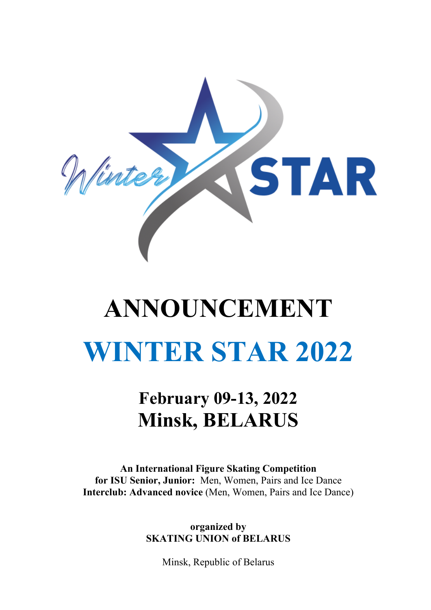

# **ANNOUNCEMENT WINTER STAR 2022**

# **February 09-13, 2022 Minsk, BELARUS**

**An International Figure Skating Competition for ISU Senior, Junior:** Men, Women, Pairs and Ice Dance **Interclub: Advanced novice** (Men, Women, Pairs and Ice Dance)

> **organized by SKATING UNION of BELARUS**

> > Minsk, Republic of Belarus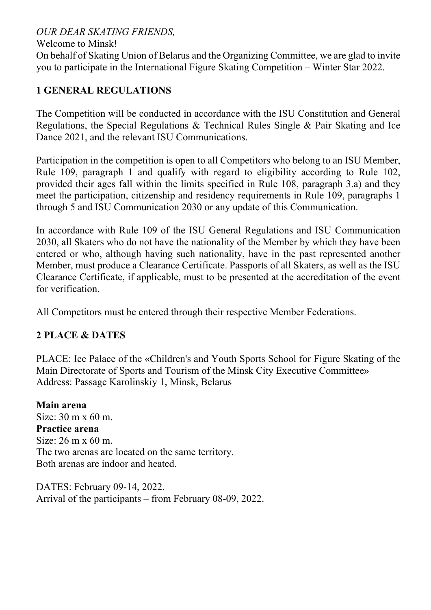#### *OUR DEAR SKATING FRIENDS,*

#### Welcome to Minsk!

On behalf of Skating Union of Belarus and the Organizing Committee, we are glad to invite you to participate in the International Figure Skating Competition – Winter Star 2022.

#### **1 GENERAL REGULATIONS**

The Competition will be conducted in accordance with the ISU Constitution and General Regulations, the Special Regulations & Technical Rules Single & Pair Skating and Ice Dance 2021, and the relevant ISU Communications.

Participation in the competition is open to all Competitors who belong to an ISU Member, Rule 109, paragraph 1 and qualify with regard to eligibility according to Rule 102, provided their ages fall within the limits specified in Rule 108, paragraph 3.a) and they meet the participation, citizenship and residency requirements in Rule 109, paragraphs 1 through 5 and ISU Communication 2030 or any update of this Communication.

In accordance with Rule 109 of the ISU General Regulations and ISU Communication 2030, all Skaters who do not have the nationality of the Member by which they have been entered or who, although having such nationality, have in the past represented another Member, must produce a Clearance Certificate. Passports of all Skaters, as well as the ISU Clearance Certificate, if applicable, must to be presented at the accreditation of the event for verification.

All Competitors must be entered through their respective Member Federations.

#### **2 PLACE & DATES**

PLACE: Ice Palace of the «Children's and Youth Sports School for Figure Skating of the Main Directorate of Sports and Tourism of the Minsk City Executive Committee» Address: Passage Karolinskiy 1, Minsk, Belarus

**Main arena** Size: 30 m x 60 m. **Practice arena** Size: 26 m x 60 m. The two arenas are located on the same territory. Both arenas are indoor and heated.

DATES: February 09-14, 2022. Arrival of the participants – from February 08-09, 2022.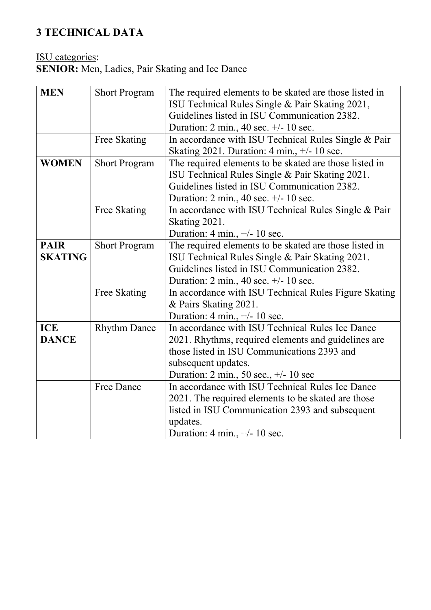## **3 TECHNICAL DATA**

#### ISU categories:

**SENIOR:** Men, Ladies, Pair Skating and Ice Dance

| <b>MEN</b>     | <b>Short Program</b> | The required elements to be skated are those listed in                       |  |  |
|----------------|----------------------|------------------------------------------------------------------------------|--|--|
|                |                      | ISU Technical Rules Single & Pair Skating 2021,                              |  |  |
|                |                      | Guidelines listed in ISU Communication 2382.                                 |  |  |
|                |                      | Duration: $2 \text{ min.}$ , $40 \text{ sec.} +/- 10 \text{ sec.}$           |  |  |
|                | Free Skating         | In accordance with ISU Technical Rules Single & Pair                         |  |  |
|                |                      | Skating 2021. Duration: $4 \text{ min.}, +/- 10 \text{ sec.}$                |  |  |
| <b>WOMEN</b>   | <b>Short Program</b> | The required elements to be skated are those listed in                       |  |  |
|                |                      | ISU Technical Rules Single & Pair Skating 2021.                              |  |  |
|                |                      | Guidelines listed in ISU Communication 2382.                                 |  |  |
|                |                      | Duration: $2 \text{ min.}$ , $40 \text{ sec.} +/- 10 \text{ sec.}$           |  |  |
|                | Free Skating         | In accordance with ISU Technical Rules Single & Pair                         |  |  |
|                |                      | Skating 2021.                                                                |  |  |
|                |                      | Duration: 4 min., $\pm/2$ 10 sec.                                            |  |  |
| <b>PAIR</b>    | <b>Short Program</b> | The required elements to be skated are those listed in                       |  |  |
| <b>SKATING</b> |                      | ISU Technical Rules Single & Pair Skating 2021.                              |  |  |
|                |                      | Guidelines listed in ISU Communication 2382.                                 |  |  |
|                |                      | Duration: $2 \text{ min.}$ , $40 \text{ sec.} +/- 10 \text{ sec.}$           |  |  |
|                | Free Skating         | In accordance with ISU Technical Rules Figure Skating                        |  |  |
|                |                      | & Pairs Skating 2021.                                                        |  |  |
|                |                      | Duration: 4 min., $+/- 10$ sec.                                              |  |  |
| <b>ICE</b>     | <b>Rhythm Dance</b>  | In accordance with ISU Technical Rules Ice Dance                             |  |  |
| <b>DANCE</b>   |                      | 2021. Rhythms, required elements and guidelines are                          |  |  |
|                |                      | those listed in ISU Communications 2393 and                                  |  |  |
|                |                      | subsequent updates.                                                          |  |  |
|                |                      | Duration: $2 \text{ min.}$ , $50 \text{ sec.}$ , $\frac{+}{-}10 \text{ sec}$ |  |  |
|                | <b>Free Dance</b>    | In accordance with ISU Technical Rules Ice Dance                             |  |  |
|                |                      | 2021. The required elements to be skated are those                           |  |  |
|                |                      | listed in ISU Communication 2393 and subsequent                              |  |  |
|                |                      | updates.                                                                     |  |  |
|                |                      | Duration: 4 min., $+/- 10$ sec.                                              |  |  |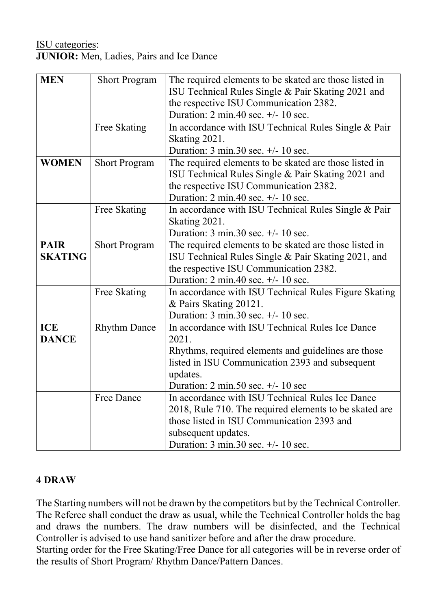#### ISU categories: **JUNIOR:** Men, Ladies, Pairs and Ice Dance

| <b>Short Program</b> | The required elements to be skated are those listed in<br>ISU Technical Rules Single & Pair Skating 2021 and<br>the respective ISU Communication 2382.<br>Duration: $2 \text{ min.40 sec.} +/- 10 \text{ sec.}$ |
|----------------------|-----------------------------------------------------------------------------------------------------------------------------------------------------------------------------------------------------------------|
|                      |                                                                                                                                                                                                                 |
|                      | In accordance with ISU Technical Rules Single & Pair                                                                                                                                                            |
|                      | Skating 2021.                                                                                                                                                                                                   |
|                      | Duration: $3 \text{ min.}30 \text{ sec.}$ +/- $10 \text{ sec.}$                                                                                                                                                 |
| <b>Short Program</b> | The required elements to be skated are those listed in                                                                                                                                                          |
|                      | ISU Technical Rules Single & Pair Skating 2021 and                                                                                                                                                              |
|                      | the respective ISU Communication 2382.                                                                                                                                                                          |
|                      | Duration: $2 \text{ min.40 sec.} +/- 10 \text{ sec.}$                                                                                                                                                           |
|                      | In accordance with ISU Technical Rules Single & Pair                                                                                                                                                            |
|                      | Skating 2021.                                                                                                                                                                                                   |
|                      | Duration: $3 \text{ min.}30 \text{ sec.}$ +/- $10 \text{ sec.}$                                                                                                                                                 |
|                      | The required elements to be skated are those listed in                                                                                                                                                          |
|                      | ISU Technical Rules Single & Pair Skating 2021, and                                                                                                                                                             |
|                      | the respective ISU Communication 2382.                                                                                                                                                                          |
|                      | Duration: $2 \text{ min.40 sec.} +/- 10 \text{ sec.}$                                                                                                                                                           |
|                      | In accordance with ISU Technical Rules Figure Skating                                                                                                                                                           |
|                      | & Pairs Skating 20121.                                                                                                                                                                                          |
|                      |                                                                                                                                                                                                                 |
|                      | Duration: $3 \text{ min.}30 \text{ sec.}$ +/- $10 \text{ sec.}$                                                                                                                                                 |
|                      | In accordance with ISU Technical Rules Ice Dance                                                                                                                                                                |
|                      | 2021.                                                                                                                                                                                                           |
|                      | Rhythms, required elements and guidelines are those                                                                                                                                                             |
|                      | listed in ISU Communication 2393 and subsequent                                                                                                                                                                 |
|                      | updates.                                                                                                                                                                                                        |
|                      | Duration: $2 \text{ min.50 sec.} +/- 10 \text{ sec}$                                                                                                                                                            |
| <b>Free Dance</b>    | In accordance with ISU Technical Rules Ice Dance                                                                                                                                                                |
|                      | 2018, Rule 710. The required elements to be skated are                                                                                                                                                          |
|                      | those listed in ISU Communication 2393 and                                                                                                                                                                      |
|                      | subsequent updates.                                                                                                                                                                                             |
|                      | Duration: $3 \text{ min.}30 \text{ sec.}$ +/- $10 \text{ sec.}$                                                                                                                                                 |
|                      | Free Skating<br>Free Skating<br><b>Short Program</b><br>Free Skating<br><b>Rhythm Dance</b>                                                                                                                     |

#### **4 DRAW**

The Starting numbers will not be drawn by the competitors but by the Technical Controller. The Referee shall conduct the draw as usual, while the Technical Controller holds the bag and draws the numbers. The draw numbers will be disinfected, and the Technical Controller is advised to use hand sanitizer before and after the draw procedure. Starting order for the Free Skating/Free Dance for all categories will be in reverse order of the results of Short Program/ Rhythm Dance/Pattern Dances.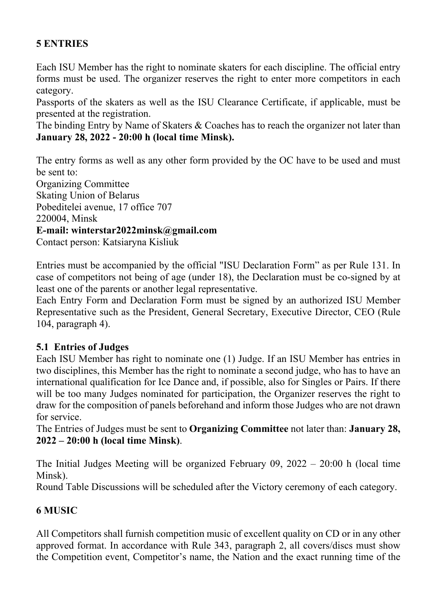#### **5 ENTRIES**

Each ISU Member has the right to nominate skaters for each discipline. The official entry forms must be used. The organizer reserves the right to enter more competitors in each category.

Passports of the skaters as well as the ISU Clearance Certificate, if applicable, must be presented at the registration.

The binding Entry by Name of Skaters & Coaches has to reach the organizer not later than **January 28, 2022 - 20:00 h (local time Minsk).**

The entry forms as well as any other form provided by the OC have to be used and must be sent to:

Organizing Committee

Skating Union of Belarus

Pobeditelei avenue, 17 office 707

220004, Minsk

#### **E-mail: winterstar2022minsk@gmail.com**

Contact person: Katsiaryna Kisliuk

Entries must be accompanied by the official "ISU Declaration Form" as per Rule 131. In case of competitors not being of age (under 18), the Declaration must be co-signed by at least one of the parents or another legal representative.

Each Entry Form and Declaration Form must be signed by an authorized ISU Member Representative such as the President, General Secretary, Executive Director, CEO (Rule 104, paragraph 4).

#### **5.1 Entries of Judges**

Each ISU Member has right to nominate one (1) Judge. If an ISU Member has entries in two disciplines, this Member has the right to nominate a second judge, who has to have an international qualification for Ice Dance and, if possible, also for Singles or Pairs. If there will be too many Judges nominated for participation, the Organizer reserves the right to draw for the composition of panels beforehand and inform those Judges who are not drawn for service.

The Entries of Judges must be sent to **Organizing Committee** not later than: **January 28, 2022 – 20:00 h (local time Minsk)**.

The Initial Judges Meeting will be organized February 09, 2022 – 20:00 h (local time Minsk).

Round Table Discussions will be scheduled after the Victory ceremony of each category.

#### **6 MUSIC**

All Competitors shall furnish competition music of excellent quality on CD or in any other approved format. In accordance with Rule 343, paragraph 2, all covers/discs must show the Competition event, Competitor's name, the Nation and the exact running time of the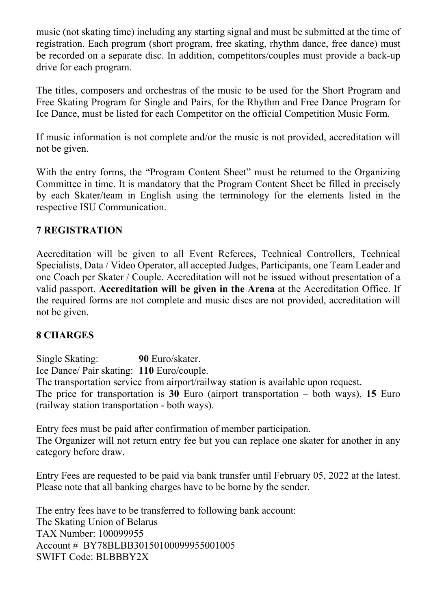music (not skating time) including any starting signal and must be submitted at the time of registration. Each program (short program, free skating, rhythm dance, free dance) must be recorded on a separate disc. In addition, competitors/couples must provide a back-up drive for each program.

The titles, composers and orchestras of the music to be used for the Short Program and Free Skating Program for Single and Pairs, for the Rhythm and Free Dance Program for Ice Dance, must be listed for each Competitor on the official Competition Music Form.

If music information is not complete and/or the music is not provided, accreditation will not be given.

With the entry forms, the "Program Content Sheet" must be returned to the Organizing Committee in time. It is mandatory that the Program Content Sheet be filled in precisely by each Skater/team in English using the terminology for the elements listed in the respective ISU Communication.

#### **7 REGISTRATION**

Accreditation will be given to all Event Referees, Technical Controllers, Technical Specialists, Data / Video Operator, all accepted Judges, Participants, one Team Leader and one Coach per Skater / Couple. Accreditation will not be issued without presentation of a valid passport. **Accreditation will be given in the Arena** at the Accreditation Office. If the required forms are not complete and music discs are not provided, accreditation will not be given.

#### **8 CHARGES**

Single Skating: **90** Euro/skater. Ice Dance/ Pair skating: **110** Euro/couple. The transportation service from airport/railway station is available upon request. The price for transportation is **30** Euro (airport transportation – both ways), **15** Euro (railway station transportation - both ways).

Entry fees must be paid after confirmation of member participation. The Organizer will not return entry fee but you can replace one skater for another in any category before draw.

Entry Fees are requested to be paid via bank transfer until February 05, 2022 at the latest. Please note that all banking charges have to be borne by the sender.

The entry fees have to be transferred to following bank account: The Skating Union of Belarus TAX Number: 100099955 Account # BY78BLBB30150100099955001005 SWIFT Code: BLBBBY2X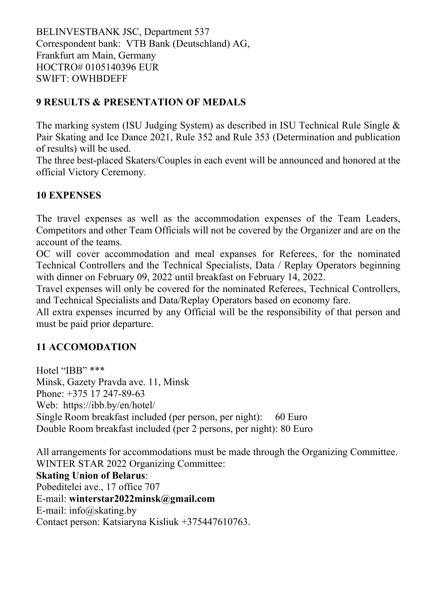BELINVESTBANK JSC, Department 537 Correspondent bank: VTB Bank (Deutschland) AG, Frankfurt am Main, Germany HOCTRO# 0105140396 EUR SWIFT: OWHBDEFF

#### **9 RESULTS & PRESENTATION OF MEDALS**

The marking system (ISU Judging System) as described in ISU Technical Rule Single & Pair Skating and Ice Dance 2021, Rule 352 and Rule 353 (Determination and publication of results) will be used.

The three best-placed Skaters/Couples in each event will be announced and honored at the official Victory Ceremony.

#### **10 EXPENSES**

The travel expenses as well as the accommodation expenses of the Team Leaders, Competitors and other Team Officials will not be covered by the Organizer and are on the account of the teams.

OC will cover accommodation and meal expanses for Referees, for the nominated Technical Controllers and the Technical Specialists, Data / Replay Operators beginning with dinner on February 09, 2022 until breakfast on February 14, 2022.

Travel expenses will only be covered for the nominated Referees, Technical Controllers, and Technical Specialists and Data/Replay Operators based on economy fare.

All extra expenses incurred by any Official will be the responsibility of that person and must be paid prior departure.

#### **11 ACCOMODATION**

Hotel "IBB" \*\*\* Minsk, Gazety Pravda ave. 11, Minsk Phone: +375 17 247-89-63 Web: https://ibb.by/en/hotel/ Single Room breakfast included (per person, per night): 60 Euro Double Room breakfast included (per 2 persons, per night): 80 Euro

All arrangements for accommodations must be made through the Organizing Committee. WINTER STAR 2022 Organizing Committee:

**Skating Union of Belarus**: Pobeditelei ave., 17 office 707 E-mail: **winterstar2022minsk@gmail.com** E-mail: info@skating.by Contact person: Katsiaryna Kisliuk +375447610763.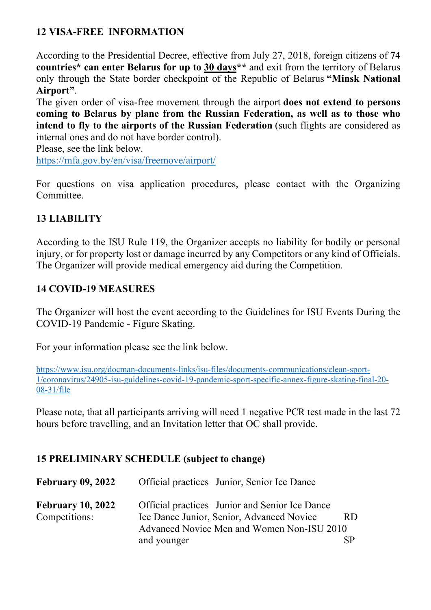#### **12 VISA-FREE INFORMATION**

According to the Presidential Decree, effective from July 27, 2018, foreign citizens of **74 countries\* can enter Belarus for up to 30 days\*\*** and exit from the territory of Belarus only through the State border checkpoint of the Republic of Belarus **"Minsk National Airport"**.

The given order of visa-free movement through the airport **does not extend to persons coming to Belarus by plane from the Russian Federation, as well as to those who intend to fly to the airports of the Russian Federation** (such flights are considered as internal ones and do not have border control).

Please, see the link below. https://mfa.gov.by/en/visa/freemove/airport/

For questions on visa application procedures, please contact with the Organizing Committee.

#### **13 LIABILITY**

According to the ISU Rule 119, the Organizer accepts no liability for bodily or personal injury, or for property lost or damage incurred by any Competitors or any kind of Officials. The Organizer will provide medical emergency aid during the Competition.

#### **14 COVID-19 MEASURES**

The Organizer will host the event according to the Guidelines for ISU Events During the COVID-19 Pandemic - Figure Skating.

For your information please see the link below.

https://www.isu.org/docman-documents-links/isu-files/documents-communications/clean-sport-1/coronavirus/24905-isu-guidelines-covid-19-pandemic-sport-specific-annex-figure-skating-final-20- 08-31/file

Please note, that all participants arriving will need 1 negative PCR test made in the last 72 hours before travelling, and an Invitation letter that OC shall provide.

#### **15 PRELIMINARY SCHEDULE (subject to change)**

| <b>February 09, 2022</b> | Official practices Junior, Senior Ice Dance    |     |  |
|--------------------------|------------------------------------------------|-----|--|
| <b>February 10, 2022</b> | Official practices Junior and Senior Ice Dance |     |  |
| Competitions:            | Ice Dance Junior, Senior, Advanced Novice      | RD. |  |
|                          | Advanced Novice Men and Women Non-ISU 2010     |     |  |
|                          | and younger                                    |     |  |